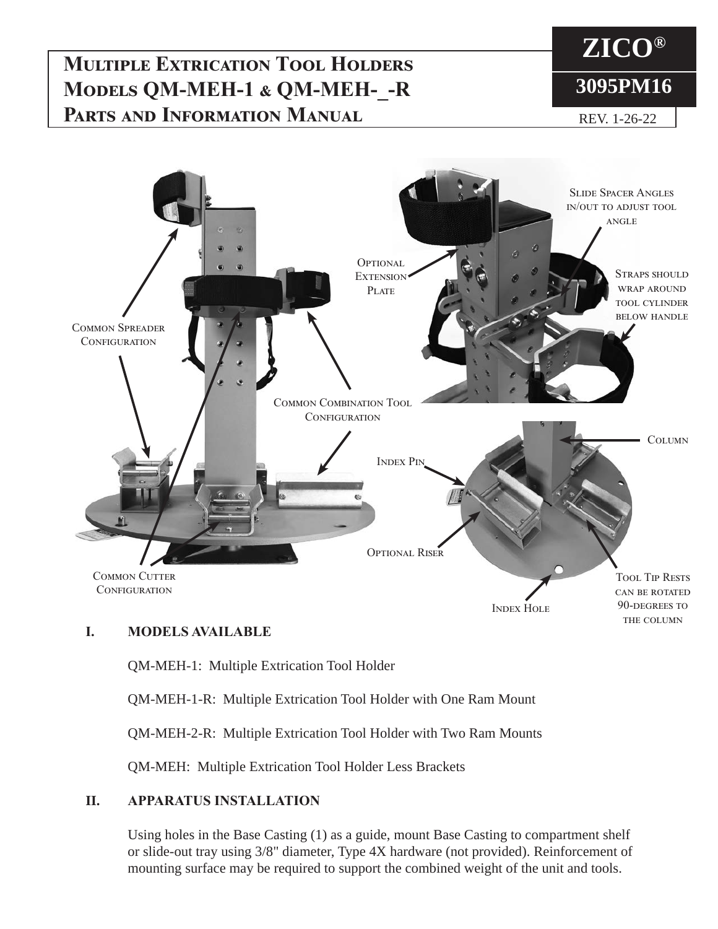## **Multiple Extrication Tool Holders Models QM-MEH-1 & QM-MEH-\_-R PARTS AND INFORMATION MANUAL REV. 1-26-22**

# **ZICO® 3095PM16**



### **I. MODELS AVAILABLE**

QM-MEH-1: Multiple Extrication Tool Holder

QM-MEH-1-R: Multiple Extrication Tool Holder with One Ram Mount

QM-MEH-2-R: Multiple Extrication Tool Holder with Two Ram Mounts

QM-MEH: Multiple Extrication Tool Holder Less Brackets

#### **II. APPARATUS INSTALLATION**

Using holes in the Base Casting (1) as a guide, mount Base Casting to compartment shelf or slide-out tray using 3/8" diameter, Type 4X hardware (not provided). Reinforcement of mounting surface may be required to support the combined weight of the unit and tools.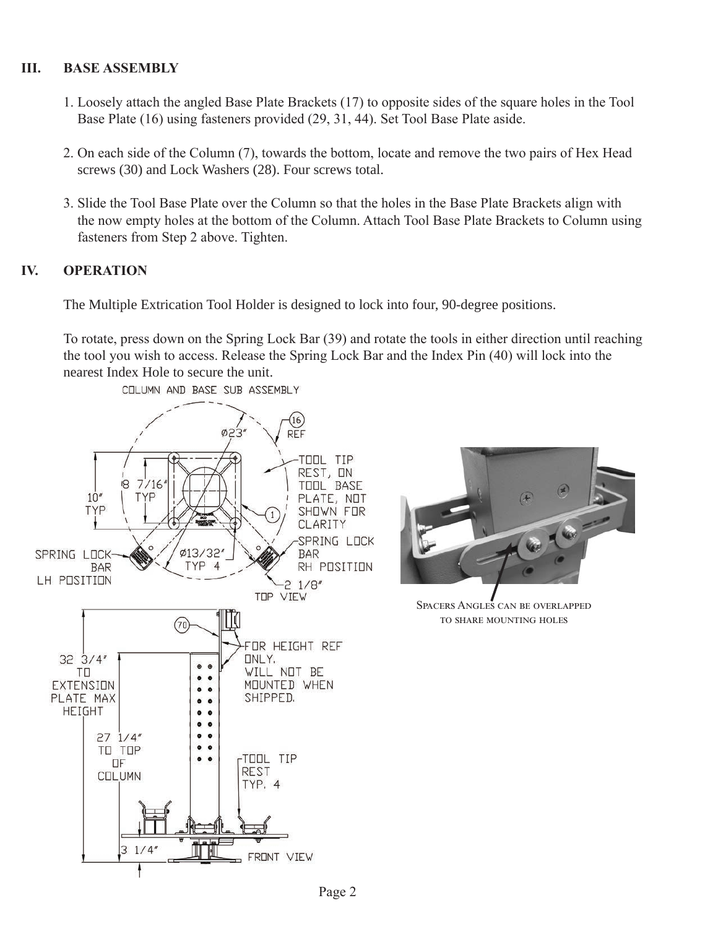#### **III. BASE ASSEMBLY**

- 1. Loosely attach the angled Base Plate Brackets (17) to opposite sides of the square holes in the Tool Base Plate (16) using fasteners provided (29, 31, 44). Set Tool Base Plate aside.
- 2. On each side of the Column (7), towards the bottom, locate and remove the two pairs of Hex Head screws (30) and Lock Washers (28). Four screws total.
- 3. Slide the Tool Base Plate over the Column so that the holes in the Base Plate Brackets align with the now empty holes at the bottom of the Column. Attach Tool Base Plate Brackets to Column using fasteners from Step 2 above. Tighten.

#### **IV. OPERATION**

The Multiple Extrication Tool Holder is designed to lock into four, 90-degree positions.

To rotate, press down on the Spring Lock Bar (39) and rotate the tools in either direction until reaching the tool you wish to access. Release the Spring Lock Bar and the Index Pin (40) will lock into the nearest Index Hole to secure the unit.

 $\widehat{C}$ 

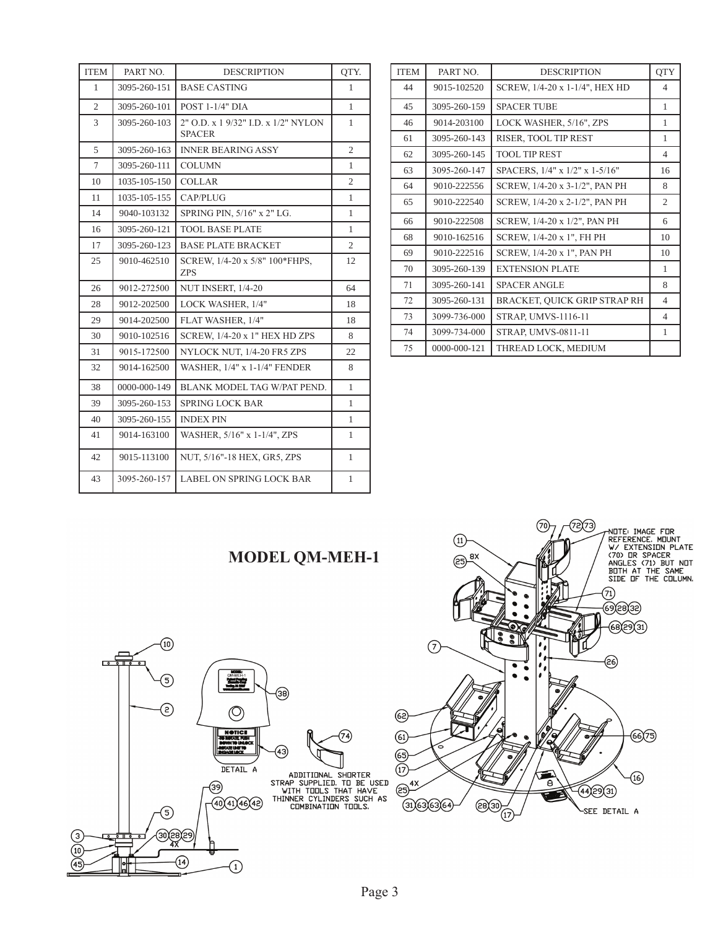| <b>ITEM</b>    | PART NO.     | <b>DESCRIPTION</b>                                   | QTY.           |
|----------------|--------------|------------------------------------------------------|----------------|
| 1              | 3095-260-151 | <b>BASE CASTING</b>                                  | 1              |
| $\overline{c}$ | 3095-260-101 | POST 1-1/4" DIA                                      | $\mathbf{1}$   |
| 3              | 3095-260-103 | 2" O.D. x 1 9/32" I.D. x 1/2" NYLON<br><b>SPACER</b> | $\mathbf{1}$   |
| 5              | 3095-260-163 | <b>INNER BEARING ASSY</b>                            | $\overline{2}$ |
| $\tau$         | 3095-260-111 | <b>COLUMN</b>                                        | 1              |
| 10             | 1035-105-150 | <b>COLLAR</b>                                        | $\overline{2}$ |
| 11             | 1035-105-155 | CAP/PLUG                                             | 1              |
| 14             | 9040-103132  | SPRING PIN, 5/16" x 2" LG.                           | 1              |
| 16             | 3095-260-121 | <b>TOOL BASE PLATE</b>                               | $\mathbf{1}$   |
| 17             | 3095-260-123 | <b>BASE PLATE BRACKET</b>                            | $\overline{c}$ |
| 25             | 9010-462510  | SCREW, 1/4-20 x 5/8" 100*FHPS,<br><b>ZPS</b>         | 12             |
| 26             | 9012-272500  | NUT INSERT, 1/4-20                                   | 64             |
| 28             | 9012-202500  | LOCK WASHER, 1/4"                                    | 18             |
| 29             | 9014-202500  | FLAT WASHER, 1/4"                                    | 18             |
| 30             | 9010-102516  | SCREW, 1/4-20 x 1" HEX HD ZPS                        | 8              |
| 31             | 9015-172500  | NYLOCK NUT, 1/4-20 FR5 ZPS                           | 22             |
| 32             | 9014-162500  | <b>WASHER, 1/4" x 1-1/4" FENDER</b>                  | 8              |
| 38             | 0000-000-149 | BLANK MODEL TAG W/PAT PEND.                          | $\mathbf{1}$   |
| 39             | 3095-260-153 | <b>SPRING LOCK BAR</b>                               | 1              |
| 40             | 3095-260-155 | <b>INDEX PIN</b>                                     | $\mathbf{1}$   |
| 41             | 9014-163100  | WASHER, 5/16" x 1-1/4", ZPS                          | 1              |
| 42             | 9015-113100  | NUT, 5/16"-18 HEX, GR5, ZPS                          | 1              |
| 43             | 3095-260-157 | <b>LABEL ON SPRING LOCK BAR</b>                      | $\mathbf{1}$   |

| <b>ITEM</b> | PART NO.     | <b>DESCRIPTION</b>             | <b>OTY</b>     |
|-------------|--------------|--------------------------------|----------------|
| 44          | 9015-102520  | SCREW, 1/4-20 x 1-1/4", HEX HD | $\overline{4}$ |
| 45          | 3095-260-159 | <b>SPACER TUBE</b>             | 1              |
| 46          | 9014-203100  | LOCK WASHER, 5/16", ZPS        | 1              |
| 61          | 3095-260-143 | RISER, TOOL TIP REST           | 1              |
| 62          | 3095-260-145 | <b>TOOL TIP REST</b>           | $\overline{4}$ |
| 63          | 3095-260-147 | SPACERS, 1/4" x 1/2" x 1-5/16" | 16             |
| 64          | 9010-222556  | SCREW, 1/4-20 x 3-1/2", PAN PH | 8              |
| 65          | 9010-222540  | SCREW, 1/4-20 x 2-1/2", PAN PH | 2              |
| 66          | 9010-222508  | SCREW, 1/4-20 x 1/2", PAN PH   | 6              |
| 68          | 9010-162516  | SCREW, 1/4-20 x 1", FH PH      | 10             |
| 69          | 9010-222516  | SCREW, 1/4-20 x 1", PAN PH     | 10             |
| 70          | 3095-260-139 | <b>EXTENSION PLATE</b>         | 1              |
| 71          | 3095-260-141 | <b>SPACER ANGLE</b>            | 8              |
| 72          | 3095-260-131 | BRACKET, QUICK GRIP STRAP RH   | 4              |
| 73          | 3099-736-000 | <b>STRAP, UMVS-1116-11</b>     | 4              |
| 74          | 3099-734-000 | <b>STRAP, UMVS-0811-11</b>     | 1              |
| 75          | 0000-000-121 | THREAD LOCK, MEDIUM            |                |

## **MODEL QM-MEH-1**